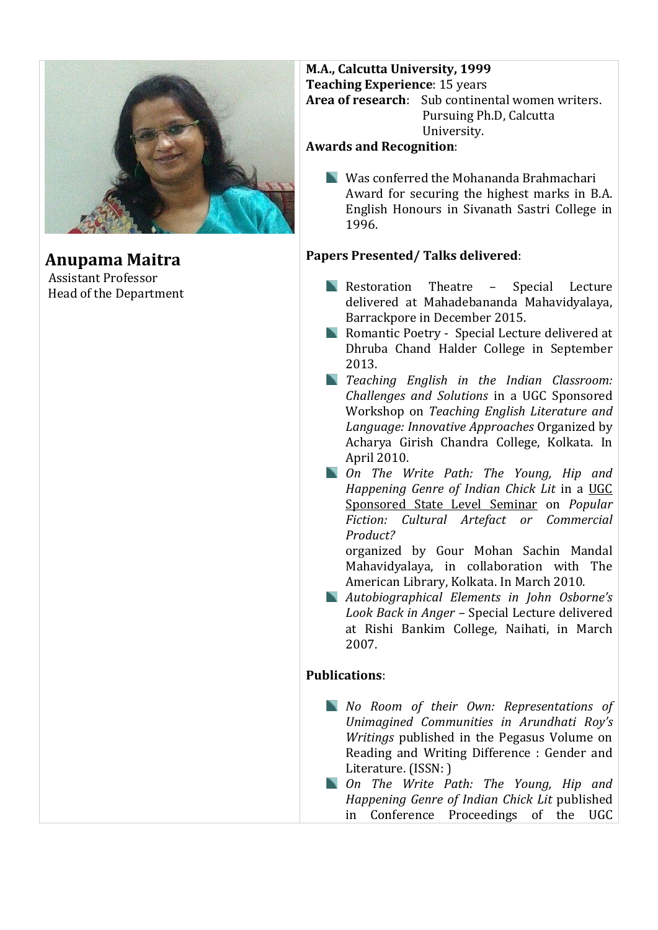

**Anupama Maitra** Assistant Professor Head of the Department

### **M.A., Calcutta University, 1999 Teaching Experience**: 15 years **Area of research**: Sub continental women writers. Pursuing Ph.D, Calcutta University.

## **Awards and Recognition**:

Was conferred the Mohananda Brahmachari Award for securing the highest marks in B.A. English Honours in Sivanath Sastri College in 1996.

# **Papers Presented/ Talks delivered**:

- **Restoration Theatre Special Lecture** delivered at Mahadebananda Mahavidyalaya, Barrackpore in December 2015.
- **Romantic Poetry Special Lecture delivered at** Dhruba Chand Halder College in September 2013.
- *Teaching English in the Indian Classroom: Challenges and Solutions* in a UGC Sponsored Workshop on *Teaching English Literature and Language: Innovative Approaches* Organized by Acharya Girish Chandra College, Kolkata. In April 2010.
- *On The Write Path: The Young, Hip and Happening Genre of Indian Chick Lit* in a UGC Sponsored State Level Seminar on *Popular Fiction: Cultural Artefact or Commercial Product?*

organized by Gour Mohan Sachin Mandal Mahavidyalaya, in collaboration with The American Library, Kolkata. In March 2010.

*Autobiographical Elements in John Osborne's Look Back in Anger –* Special Lecture delivered at Rishi Bankim College, Naihati, in March 2007.

### **Publications**:

- *No Room of their Own: Representations of Unimagined Communities in Arundhati Roy's Writings* published in the Pegasus Volume on Reading and Writing Difference : Gender and Literature. (ISSN: )
- *On The Write Path: The Young, Hip and Happening Genre of Indian Chick Lit* published in Conference Proceedings of the UGC